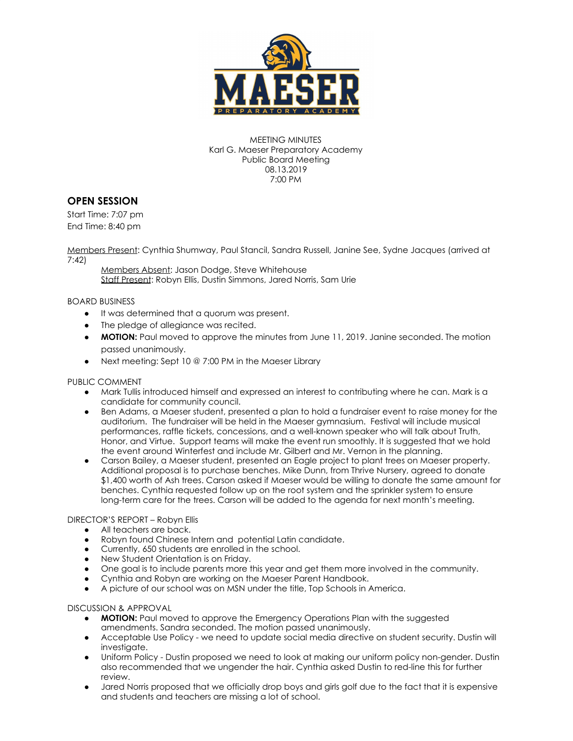

MEETING MINUTES Karl G. Maeser Preparatory Academy Public Board Meeting 08.13.2019 7:00 PM

## **OPEN SESSION**

Start Time: 7:07 pm End Time: 8:40 pm

Members Present: Cynthia Shumway, Paul Stancil, Sandra Russell, Janine See, Sydne Jacques (arrived at 7:42)

Members Absent: Jason Dodge, Steve Whitehouse Staff Present: Robyn Ellis, Dustin Simmons, Jared Norris, Sam Urie

BOARD BUSINESS

- It was determined that a quorum was present.
- The pledge of allegiance was recited.
- **MOTION:** Paul moved to approve the minutes from June 11, 2019. Janine seconded. The motion passed unanimously.
- Next meeting: Sept 10 @ 7:00 PM in the Maeser Library

## PUBLIC COMMENT

- Mark Tullis introduced himself and expressed an interest to contributing where he can. Mark is a candidate for community council.
- Ben Adams, a Maeser student, presented a plan to hold a fundraiser event to raise money for the auditorium. The fundraiser will be held in the Maeser gymnasium. Festival will include musical performances, raffle tickets, concessions, and a well-known speaker who will talk about Truth, Honor, and Virtue. Support teams will make the event run smoothly. It is suggested that we hold the event around Winterfest and include Mr. Gilbert and Mr. Vernon in the planning.
- Carson Bailey, a Maeser student, presented an Eagle project to plant trees on Maeser property. Additional proposal is to purchase benches. Mike Dunn, from Thrive Nursery, agreed to donate \$1,400 worth of Ash trees. Carson asked if Maeser would be willing to donate the same amount for benches. Cynthia requested follow up on the root system and the sprinkler system to ensure long-term care for the trees. Carson will be added to the agenda for next month's meeting.

## DIRECTOR'S REPORT – Robyn Ellis

- All teachers are back.
- Robyn found Chinese Intern and potential Latin candidate.
- Currently, 650 students are enrolled in the school.
- New Student Orientation is on Friday.
- One goal is to include parents more this year and get them more involved in the community.
- Cynthia and Robyn are working on the Maeser Parent Handbook.
- A picture of our school was on MSN under the title, Top Schools in America.

## DISCUSSION & APPROVAL

- **MOTION:** Paul moved to approve the Emergency Operations Plan with the suggested amendments. Sandra seconded. The motion passed unanimously.
- Acceptable Use Policy we need to update social media directive on student security. Dustin will investigate.
- Uniform Policy Dustin proposed we need to look at making our uniform policy non-gender. Dustin also recommended that we ungender the hair. Cynthia asked Dustin to red-line this for further review.
- Jared Norris proposed that we officially drop boys and girls golf due to the fact that it is expensive and students and teachers are missing a lot of school.